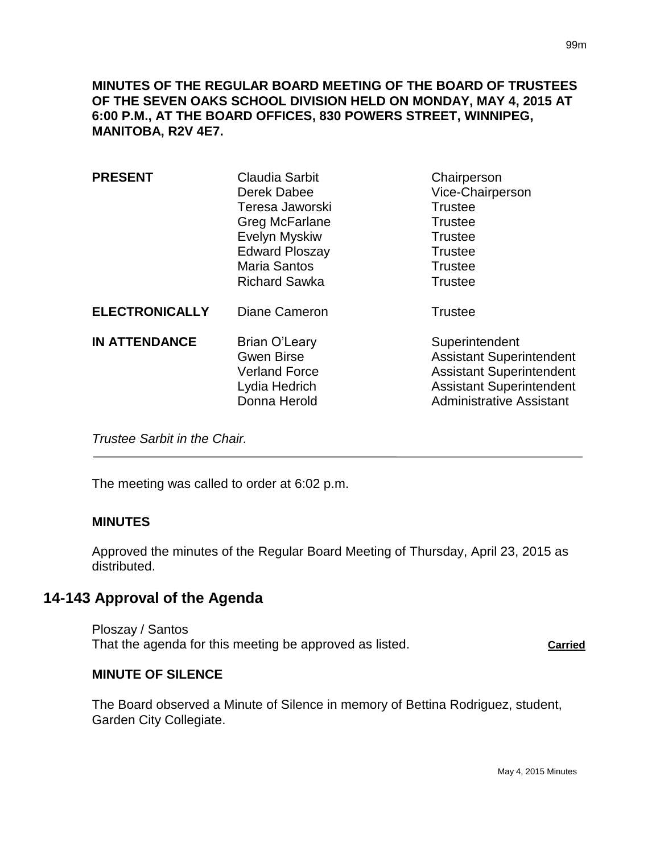**MINUTES OF THE REGULAR BOARD MEETING OF THE BOARD OF TRUSTEES OF THE SEVEN OAKS SCHOOL DIVISION HELD ON MONDAY, MAY 4, 2015 AT 6:00 P.M., AT THE BOARD OFFICES, 830 POWERS STREET, WINNIPEG, MANITOBA, R2V 4E7.**

| <b>PRESENT</b>        | <b>Claudia Sarbit</b><br>Derek Dabee<br>Teresa Jaworski<br>Greg McFarlane<br>Evelyn Myskiw<br><b>Edward Ploszay</b><br><b>Maria Santos</b><br><b>Richard Sawka</b> | Chairperson<br>Vice-Chairperson<br><b>Trustee</b><br><b>Trustee</b><br><b>Trustee</b><br><b>Trustee</b><br><b>Trustee</b><br><b>Trustee</b>                |
|-----------------------|--------------------------------------------------------------------------------------------------------------------------------------------------------------------|------------------------------------------------------------------------------------------------------------------------------------------------------------|
| <b>ELECTRONICALLY</b> | Diane Cameron                                                                                                                                                      | <b>Trustee</b>                                                                                                                                             |
| <b>IN ATTENDANCE</b>  | Brian O'Leary<br><b>Gwen Birse</b><br><b>Verland Force</b><br>Lydia Hedrich<br>Donna Herold                                                                        | Superintendent<br><b>Assistant Superintendent</b><br><b>Assistant Superintendent</b><br><b>Assistant Superintendent</b><br><b>Administrative Assistant</b> |

*Trustee Sarbit in the Chair.* 

The meeting was called to order at 6:02 p.m.

### **MINUTES**

Approved the minutes of the Regular Board Meeting of Thursday, April 23, 2015 as distributed.

## **14-143 Approval of the Agenda**

Ploszay / Santos That the agenda for this meeting be approved as listed. **Carried**

#### **MINUTE OF SILENCE**

The Board observed a Minute of Silence in memory of Bettina Rodriguez, student, Garden City Collegiate.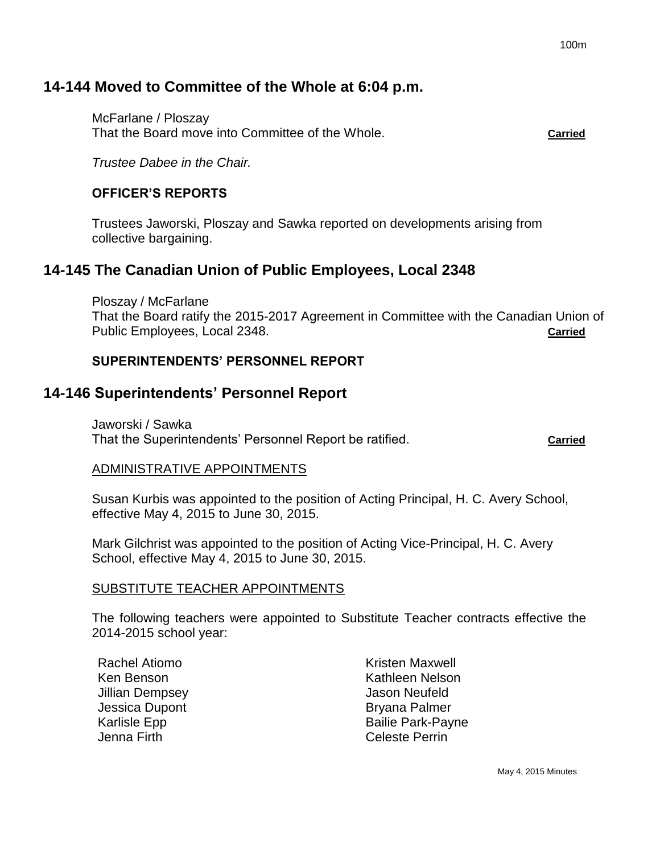# **14-144 Moved to Committee of the Whole at 6:04 p.m.**

McFarlane / Ploszay That the Board move into Committee of the Whole. **Carried**

*Trustee Dabee in the Chair.*

### **OFFICER'S REPORTS**

Trustees Jaworski, Ploszay and Sawka reported on developments arising from collective bargaining.

## **14-145 The Canadian Union of Public Employees, Local 2348**

Ploszay / McFarlane That the Board ratify the 2015-2017 Agreement in Committee with the Canadian Union of Public Employees, Local 2348. **Carried**

### **SUPERINTENDENTS' PERSONNEL REPORT**

## **14-146 Superintendents' Personnel Report**

Jaworski / Sawka That the Superintendents' Personnel Report be ratified. **Carried**

#### ADMINISTRATIVE APPOINTMENTS

Susan Kurbis was appointed to the position of Acting Principal, H. C. Avery School, effective May 4, 2015 to June 30, 2015.

Mark Gilchrist was appointed to the position of Acting Vice-Principal, H. C. Avery School, effective May 4, 2015 to June 30, 2015.

#### SUBSTITUTE TEACHER APPOINTMENTS

The following teachers were appointed to Substitute Teacher contracts effective the 2014-2015 school year:

Rachel Atiomo Ken Benson Jillian Dempsey Jessica Dupont Karlisle Epp Jenna Firth

Kristen Maxwell Kathleen Nelson Jason Neufeld Bryana Palmer Bailie Park-Payne Celeste Perrin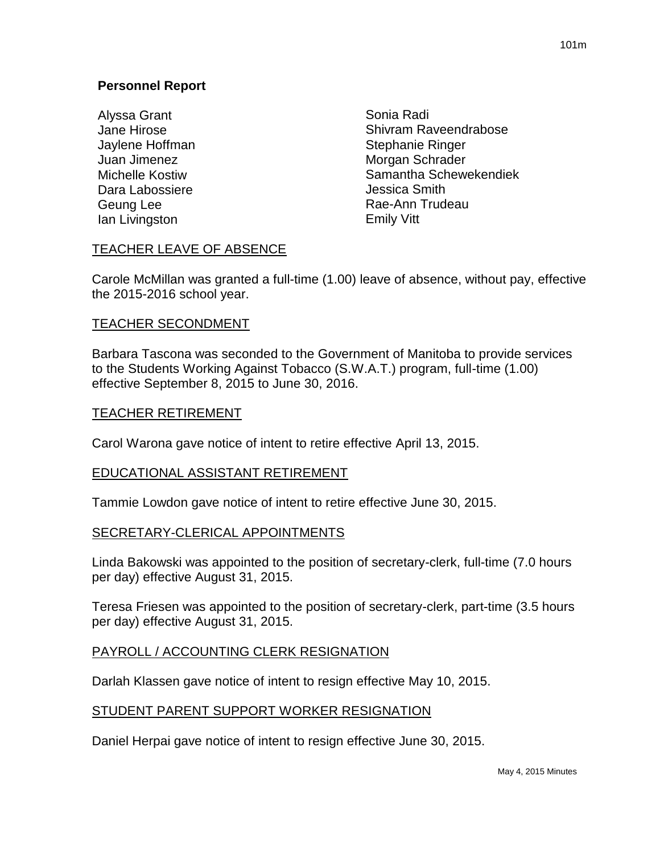Alyssa Grant Jane Hirose Jaylene Hoffman Juan Jimenez Michelle Kostiw Dara Labossiere Geung Lee Ian Livingston

Sonia Radi Shivram Raveendrabose Stephanie Ringer Morgan Schrader Samantha Schewekendiek Jessica Smith Rae-Ann Trudeau Emily Vitt

## TEACHER LEAVE OF ABSENCE

Carole McMillan was granted a full-time (1.00) leave of absence, without pay, effective the 2015-2016 school year.

### TEACHER SECONDMENT

Barbara Tascona was seconded to the Government of Manitoba to provide services to the Students Working Against Tobacco (S.W.A.T.) program, full-time (1.00) effective September 8, 2015 to June 30, 2016.

### TEACHER RETIREMENT

Carol Warona gave notice of intent to retire effective April 13, 2015.

#### EDUCATIONAL ASSISTANT RETIREMENT

Tammie Lowdon gave notice of intent to retire effective June 30, 2015.

### SECRETARY-CLERICAL APPOINTMENTS

Linda Bakowski was appointed to the position of secretary-clerk, full-time (7.0 hours per day) effective August 31, 2015.

Teresa Friesen was appointed to the position of secretary-clerk, part-time (3.5 hours per day) effective August 31, 2015.

### PAYROLL / ACCOUNTING CLERK RESIGNATION

Darlah Klassen gave notice of intent to resign effective May 10, 2015.

### STUDENT PARENT SUPPORT WORKER RESIGNATION

Daniel Herpai gave notice of intent to resign effective June 30, 2015.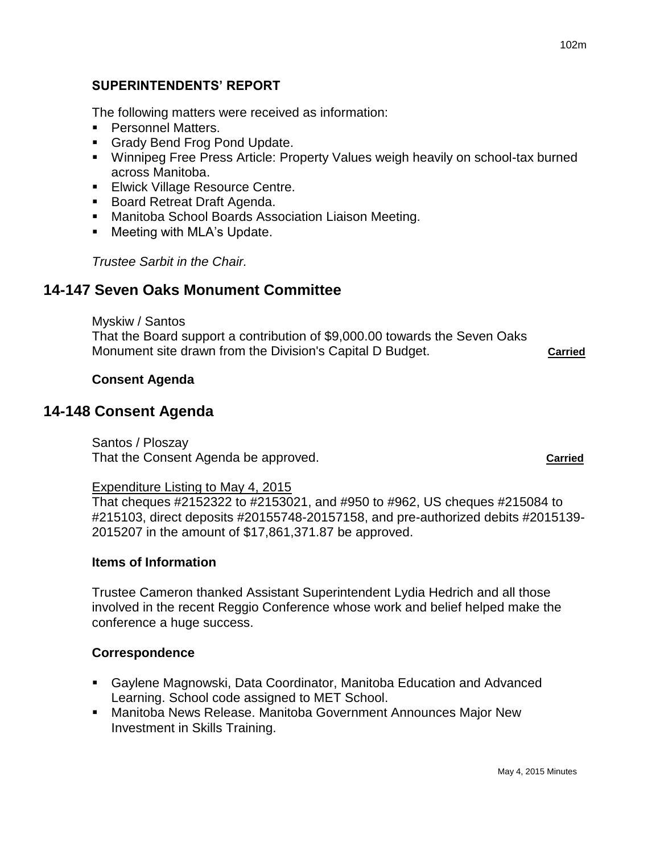### **SUPERINTENDENTS' REPORT**

The following matters were received as information:

- **Personnel Matters.**
- **Grady Bend Frog Pond Update.**
- Winnipeg Free Press Article: Property Values weigh heavily on school-tax burned across Manitoba.
- **Elwick Village Resource Centre.**
- **Board Retreat Draft Agenda.**
- Manitoba School Boards Association Liaison Meeting.
- **Meeting with MLA's Update.**

*Trustee Sarbit in the Chair.*

## **14-147 Seven Oaks Monument Committee**

Myskiw / Santos That the Board support a contribution of \$9,000.00 towards the Seven Oaks Monument site drawn from the Division's Capital D Budget. **Carried**

#### **Consent Agenda**

## **14-148 Consent Agenda**

Santos / Ploszay That the Consent Agenda be approved. **Carried**

#### Expenditure Listing to May 4, 2015

That cheques #2152322 to #2153021, and #950 to #962, US cheques #215084 to #215103, direct deposits #20155748-20157158, and pre-authorized debits #2015139- 2015207 in the amount of \$17,861,371.87 be approved.

#### **Items of Information**

Trustee Cameron thanked Assistant Superintendent Lydia Hedrich and all those involved in the recent Reggio Conference whose work and belief helped make the conference a huge success.

#### **Correspondence**

- Gaylene Magnowski, Data Coordinator, Manitoba Education and Advanced Learning. School code assigned to MET School.
- Manitoba News Release. Manitoba Government Announces Major New Investment in Skills Training.